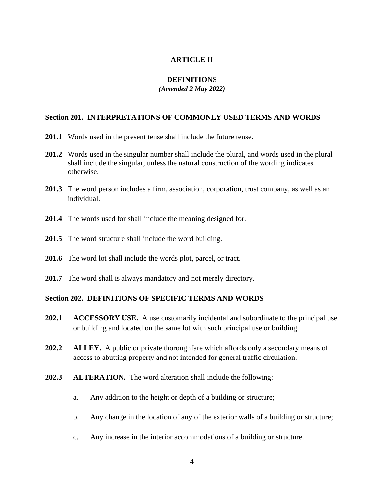## **ARTICLE II**

# **DEFINITIONS**

#### *(Amended 2 May 2022)*

## **Section 201. INTERPRETATIONS OF COMMONLY USED TERMS AND WORDS**

- **201.1** Words used in the present tense shall include the future tense.
- **201.2** Words used in the singular number shall include the plural, and words used in the plural shall include the singular, unless the natural construction of the wording indicates otherwise.
- **201.3** The word person includes a firm, association, corporation, trust company, as well as an individual.
- **201.4** The words used for shall include the meaning designed for.
- **201.5** The word structure shall include the word building.
- **201.6** The word lot shall include the words plot, parcel, or tract.
- **201.7** The word shall is always mandatory and not merely directory.

## **Section 202. DEFINITIONS OF SPECIFIC TERMS AND WORDS**

- **202.1 ACCESSORY USE.** A use customarily incidental and subordinate to the principal use or building and located on the same lot with such principal use or building.
- **202.2 ALLEY.** A public or private thoroughfare which affords only a secondary means of access to abutting property and not intended for general traffic circulation.
- **202.3 ALTERATION.** The word alteration shall include the following:
	- a. Any addition to the height or depth of a building or structure;
	- b. Any change in the location of any of the exterior walls of a building or structure;
	- c. Any increase in the interior accommodations of a building or structure.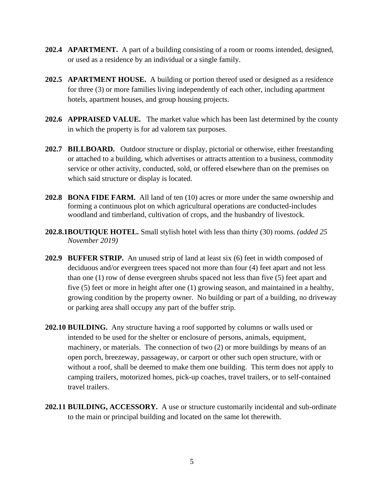- **202.4 APARTMENT.** A part of a building consisting of a room or rooms intended, designed, or used as a residence by an individual or a single family.
- **202.5 APARTMENT HOUSE.** A building or portion thereof used or designed as a residence for three (3) or more families living independently of each other, including apartment hotels, apartment houses, and group housing projects.
- **202.6 APPRAISED VALUE.** The market value which has been last determined by the county in which the property is for ad valorem tax purposes.
- **202.7 BILLBOARD.** Outdoor structure or display, pictorial or otherwise, either freestanding or attached to a building, which advertises or attracts attention to a business, commodity service or other activity, conducted, sold, or offered elsewhere than on the premises on which said structure or display is located.
- **202.8 BONA FIDE FARM.** All land of ten (10) acres or more under the same ownership and forming a continuous plot on which agricultural operations are conducted-includes woodland and timberland, cultivation of crops, and the husbandry of livestock.
- **202.8.1BOUTIQUE HOTEL.** Small stylish hotel with less than thirty (30) rooms. *(added 25 November 2019)*
- **202.9 BUFFER STRIP.** An unused strip of land at least six (6) feet in width composed of deciduous and/or evergreen trees spaced not more than four (4) feet apart and not less than one (1) row of dense evergreen shrubs spaced not less than five (5) feet apart and five (5) feet or more in height after one (1) growing season, and maintained in a healthy, growing condition by the property owner. No building or part of a building, no driveway or parking area shall occupy any part of the buffer strip.
- **202.10 BUILDING.** Any structure having a roof supported by columns or walls used or intended to be used for the shelter or enclosure of persons, animals, equipment, machinery, or materials. The connection of two (2) or more buildings by means of an open porch, breezeway, passageway, or carport or other such open structure, with or without a roof, shall be deemed to make them one building. This term does not apply to camping trailers, motorized homes, pick-up coaches, travel trailers, or to self-contained travel trailers.
- **202.11 BUILDING, ACCESSORY.** A use or structure customarily incidental and sub-ordinate to the main or principal building and located on the same lot therewith.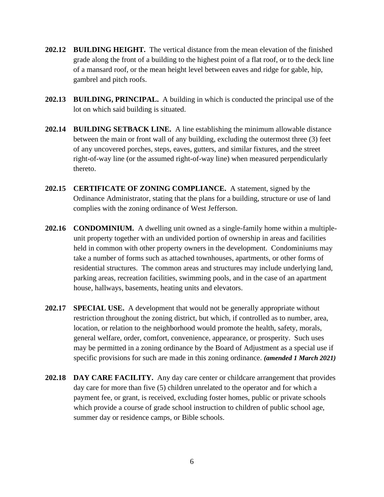- **202.12 BUILDING HEIGHT.** The vertical distance from the mean elevation of the finished grade along the front of a building to the highest point of a flat roof, or to the deck line of a mansard roof, or the mean height level between eaves and ridge for gable, hip, gambrel and pitch roofs.
- **202.13 BUILDING, PRINCIPAL.** A building in which is conducted the principal use of the lot on which said building is situated.
- **202.14 BUILDING SETBACK LINE.** A line establishing the minimum allowable distance between the main or front wall of any building, excluding the outermost three (3) feet of any uncovered porches, steps, eaves, gutters, and similar fixtures, and the street right-of-way line (or the assumed right-of-way line) when measured perpendicularly thereto.
- **202.15 CERTIFICATE OF ZONING COMPLIANCE.** A statement, signed by the Ordinance Administrator, stating that the plans for a building, structure or use of land complies with the zoning ordinance of West Jefferson.
- **202.16 CONDOMINIUM.** A dwelling unit owned as a single-family home within a multipleunit property together with an undivided portion of ownership in areas and facilities held in common with other property owners in the development. Condominiums may take a number of forms such as attached townhouses, apartments, or other forms of residential structures. The common areas and structures may include underlying land, parking areas, recreation facilities, swimming pools, and in the case of an apartment house, hallways, basements, heating units and elevators.
- **202.17 SPECIAL USE.** A development that would not be generally appropriate without restriction throughout the zoning district, but which, if controlled as to number, area, location, or relation to the neighborhood would promote the health, safety, morals, general welfare, order, comfort, convenience, appearance, or prosperity. Such uses may be permitted in a zoning ordinance by the Board of Adjustment as a special use if specific provisions for such are made in this zoning ordinance. *(amended 1 March 2021)*
- **202.18 DAY CARE FACILITY.** Any day care center or childcare arrangement that provides day care for more than five (5) children unrelated to the operator and for which a payment fee, or grant, is received, excluding foster homes, public or private schools which provide a course of grade school instruction to children of public school age, summer day or residence camps, or Bible schools.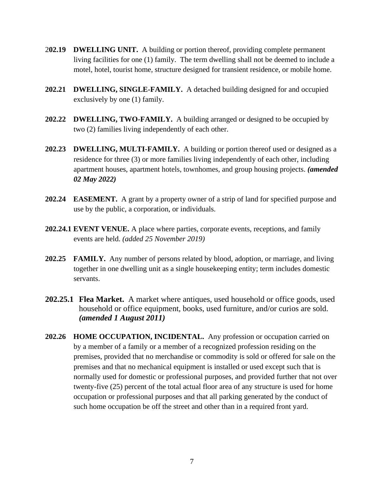- 2**02.19 DWELLING UNIT.** A building or portion thereof, providing complete permanent living facilities for one (1) family. The term dwelling shall not be deemed to include a motel, hotel, tourist home, structure designed for transient residence, or mobile home.
- **202.21 DWELLING, SINGLE-FAMILY.** A detached building designed for and occupied exclusively by one (1) family.
- **202.22 DWELLING, TWO-FAMILY.** A building arranged or designed to be occupied by two (2) families living independently of each other.
- **202.23 DWELLING, MULTI-FAMILY.** A building or portion thereof used or designed as a residence for three (3) or more families living independently of each other, including apartment houses, apartment hotels, townhomes*,* and group housing projects. *(amended 02 May 2022)*
- **202.24 EASEMENT.** A grant by a property owner of a strip of land for specified purpose and use by the public, a corporation, or individuals.
- **202.24.1 EVENT VENUE.** A place where parties, corporate events, receptions, and family events are held. *(added 25 November 2019)*
- **202.25 FAMILY.** Any number of persons related by blood, adoption, or marriage, and living together in one dwelling unit as a single housekeeping entity; term includes domestic servants.
- **202.25.1 Flea Market.** A market where antiques, used household or office goods, used household or office equipment, books, used furniture, and/or curios are sold. *(amended 1 August 2011)*
- **202.26 HOME OCCUPATION, INCIDENTAL.** Any profession or occupation carried on by a member of a family or a member of a recognized profession residing on the premises, provided that no merchandise or commodity is sold or offered for sale on the premises and that no mechanical equipment is installed or used except such that is normally used for domestic or professional purposes, and provided further that not over twenty-five (25) percent of the total actual floor area of any structure is used for home occupation or professional purposes and that all parking generated by the conduct of such home occupation be off the street and other than in a required front yard.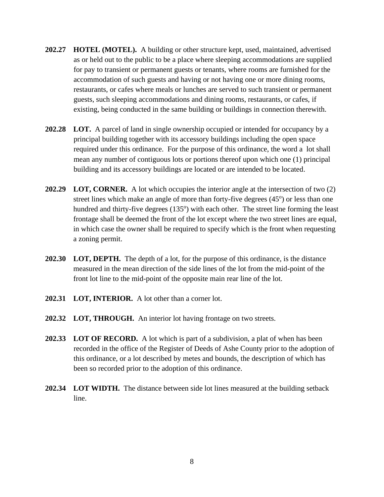- **202.27 HOTEL (MOTEL).** A building or other structure kept, used, maintained, advertised as or held out to the public to be a place where sleeping accommodations are supplied for pay to transient or permanent guests or tenants, where rooms are furnished for the accommodation of such guests and having or not having one or more dining rooms, restaurants, or cafes where meals or lunches are served to such transient or permanent guests, such sleeping accommodations and dining rooms, restaurants, or cafes, if existing, being conducted in the same building or buildings in connection therewith.
- **202.28 LOT.** A parcel of land in single ownership occupied or intended for occupancy by a principal building together with its accessory buildings including the open space required under this ordinance. For the purpose of this ordinance, the word a lot shall mean any number of contiguous lots or portions thereof upon which one (1) principal building and its accessory buildings are located or are intended to be located.
- **202.29 LOT, CORNER.** A lot which occupies the interior angle at the intersection of two (2) street lines which make an angle of more than forty-five degrees  $(45<sup>o</sup>)$  or less than one hundred and thirty-five degrees (135°) with each other. The street line forming the least frontage shall be deemed the front of the lot except where the two street lines are equal, in which case the owner shall be required to specify which is the front when requesting a zoning permit.
- **202.30 LOT, DEPTH.** The depth of a lot, for the purpose of this ordinance, is the distance measured in the mean direction of the side lines of the lot from the mid-point of the front lot line to the mid-point of the opposite main rear line of the lot.
- **202.31 LOT, INTERIOR.** A lot other than a corner lot.
- **202.32 LOT, THROUGH.** An interior lot having frontage on two streets.
- **202.33 LOT OF RECORD.** A lot which is part of a subdivision, a plat of when has been recorded in the office of the Register of Deeds of Ashe County prior to the adoption of this ordinance, or a lot described by metes and bounds, the description of which has been so recorded prior to the adoption of this ordinance.
- **202.34 LOT WIDTH.** The distance between side lot lines measured at the building setback line.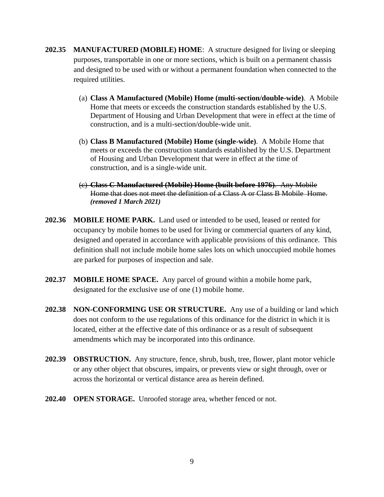- **202.35 MANUFACTURED (MOBILE) HOME**: A structure designed for living or sleeping purposes, transportable in one or more sections, which is built on a permanent chassis and designed to be used with or without a permanent foundation when connected to the required utilities.
	- (a) **Class A Manufactured (Mobile) Home (multi-section/double-wide)**. A Mobile Home that meets or exceeds the construction standards established by the U.S. Department of Housing and Urban Development that were in effect at the time of construction, and is a multi-section/double-wide unit.
	- (b) **Class B Manufactured (Mobile) Home (single-wide)**. A Mobile Home that meets or exceeds the construction standards established by the U.S. Department of Housing and Urban Development that were in effect at the time of construction, and is a single-wide unit.
	- (c) **Class C Manufactured (Mobile) Home (built before 1976)**. Any Mobile Home that does not meet the definition of a Class A or Class B Mobile Home. *(removed 1 March 2021)*
- **202.36 MOBILE HOME PARK.** Land used or intended to be used, leased or rented for occupancy by mobile homes to be used for living or commercial quarters of any kind, designed and operated in accordance with applicable provisions of this ordinance. This definition shall not include mobile home sales lots on which unoccupied mobile homes are parked for purposes of inspection and sale.
- **202.37 MOBILE HOME SPACE.** Any parcel of ground within a mobile home park, designated for the exclusive use of one (1) mobile home.
- **202.38 NON-CONFORMING USE OR STRUCTURE.** Any use of a building or land which does not conform to the use regulations of this ordinance for the district in which it is located, either at the effective date of this ordinance or as a result of subsequent amendments which may be incorporated into this ordinance.
- **202.39 OBSTRUCTION.** Any structure, fence, shrub, bush, tree, flower, plant motor vehicle or any other object that obscures, impairs, or prevents view or sight through, over or across the horizontal or vertical distance area as herein defined.
- **202.40 OPEN STORAGE.** Unroofed storage area, whether fenced or not.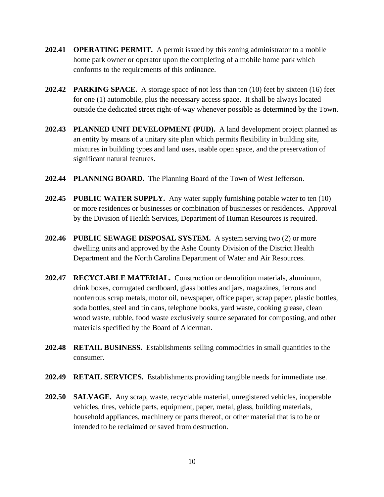- **202.41 OPERATING PERMIT.** A permit issued by this zoning administrator to a mobile home park owner or operator upon the completing of a mobile home park which conforms to the requirements of this ordinance.
- **202.42 PARKING SPACE.** A storage space of not less than ten (10) feet by sixteen (16) feet for one (1) automobile, plus the necessary access space. It shall be always located outside the dedicated street right-of-way whenever possible as determined by the Town.
- **202.43 PLANNED UNIT DEVELOPMENT (PUD).** A land development project planned as an entity by means of a unitary site plan which permits flexibility in building site, mixtures in building types and land uses, usable open space, and the preservation of significant natural features.
- **202.44 PLANNING BOARD.** The Planning Board of the Town of West Jefferson.
- **202.45 PUBLIC WATER SUPPLY.** Any water supply furnishing potable water to ten (10) or more residences or businesses or combination of businesses or residences. Approval by the Division of Health Services, Department of Human Resources is required.
- **202.46 PUBLIC SEWAGE DISPOSAL SYSTEM.** A system serving two (2) or more dwelling units and approved by the Ashe County Division of the District Health Department and the North Carolina Department of Water and Air Resources.
- **202.47 RECYCLABLE MATERIAL.** Construction or demolition materials, aluminum, drink boxes, corrugated cardboard, glass bottles and jars, magazines, ferrous and nonferrous scrap metals, motor oil, newspaper, office paper, scrap paper, plastic bottles, soda bottles, steel and tin cans, telephone books, yard waste, cooking grease, clean wood waste, rubble, food waste exclusively source separated for composting, and other materials specified by the Board of Alderman.
- **202.48 RETAIL BUSINESS.** Establishments selling commodities in small quantities to the consumer.
- **202.49 RETAIL SERVICES.** Establishments providing tangible needs for immediate use.
- **202.50 SALVAGE.** Any scrap, waste, recyclable material, unregistered vehicles, inoperable vehicles, tires, vehicle parts, equipment, paper, metal, glass, building materials, household appliances, machinery or parts thereof, or other material that is to be or intended to be reclaimed or saved from destruction.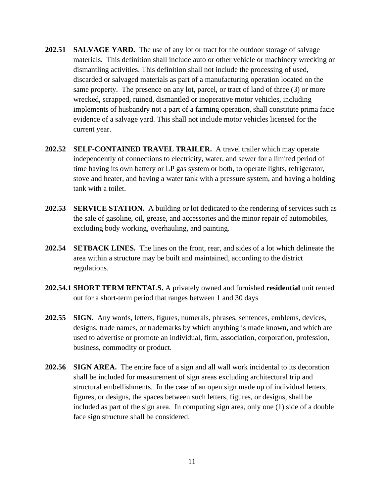- **202.51 SALVAGE YARD.** The use of any lot or tract for the outdoor storage of salvage materials. This definition shall include auto or other vehicle or machinery wrecking or dismantling activities. This definition shall not include the processing of used, discarded or salvaged materials as part of a manufacturing operation located on the same property. The presence on any lot, parcel, or tract of land of three (3) or more wrecked, scrapped, ruined, dismantled or inoperative motor vehicles, including implements of husbandry not a part of a farming operation, shall constitute prima facie evidence of a salvage yard. This shall not include motor vehicles licensed for the current year.
- **202.52 SELF-CONTAINED TRAVEL TRAILER.** A travel trailer which may operate independently of connections to electricity, water, and sewer for a limited period of time having its own battery or LP gas system or both, to operate lights, refrigerator, stove and heater, and having a water tank with a pressure system, and having a holding tank with a toilet.
- **202.53 SERVICE STATION.** A building or lot dedicated to the rendering of services such as the sale of gasoline, oil, grease, and accessories and the minor repair of automobiles, excluding body working, overhauling, and painting.
- **202.54 SETBACK LINES.** The lines on the front, rear, and sides of a lot which delineate the area within a structure may be built and maintained, according to the district regulations.
- **202.54.1 SHORT TERM RENTALS.** A privately owned and furnished **residential** unit rented out for a short-term period that ranges between 1 and 30 days
- **202.55 SIGN.** Any words, letters, figures, numerals, phrases, sentences, emblems, devices, designs, trade names, or trademarks by which anything is made known, and which are used to advertise or promote an individual, firm, association, corporation, profession, business, commodity or product.
- **202.56 SIGN AREA.** The entire face of a sign and all wall work incidental to its decoration shall be included for measurement of sign areas excluding architectural trip and structural embellishments. In the case of an open sign made up of individual letters, figures, or designs, the spaces between such letters, figures, or designs, shall be included as part of the sign area. In computing sign area, only one (1) side of a double face sign structure shall be considered.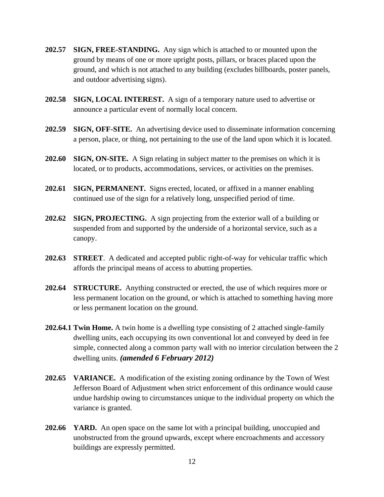- **202.57 SIGN, FREE-STANDING.** Any sign which is attached to or mounted upon the ground by means of one or more upright posts, pillars, or braces placed upon the ground, and which is not attached to any building (excludes billboards, poster panels, and outdoor advertising signs).
- **202.58 SIGN, LOCAL INTEREST.** A sign of a temporary nature used to advertise or announce a particular event of normally local concern.
- **202.59 SIGN, OFF-SITE.** An advertising device used to disseminate information concerning a person, place, or thing, not pertaining to the use of the land upon which it is located.
- **202.60 SIGN, ON-SITE.** A Sign relating in subject matter to the premises on which it is located, or to products, accommodations, services, or activities on the premises.
- **202.61 SIGN, PERMANENT.** Signs erected, located, or affixed in a manner enabling continued use of the sign for a relatively long, unspecified period of time.
- **202.62 SIGN, PROJECTING.** A sign projecting from the exterior wall of a building or suspended from and supported by the underside of a horizontal service, such as a canopy.
- **202.63 STREET**. A dedicated and accepted public right-of-way for vehicular traffic which affords the principal means of access to abutting properties.
- **202.64 STRUCTURE.** Anything constructed or erected, the use of which requires more or less permanent location on the ground, or which is attached to something having more or less permanent location on the ground.
- **202.64.1 Twin Home.** A twin home is a dwelling type consisting of 2 attached single-family dwelling units, each occupying its own conventional lot and conveyed by deed in fee simple, connected along a common party wall with no interior circulation between the 2 dwelling units. *(amended 6 February 2012)*
- **202.65 VARIANCE.** A modification of the existing zoning ordinance by the Town of West Jefferson Board of Adjustment when strict enforcement of this ordinance would cause undue hardship owing to circumstances unique to the individual property on which the variance is granted.
- **202.66 YARD.** An open space on the same lot with a principal building, unoccupied and unobstructed from the ground upwards, except where encroachments and accessory buildings are expressly permitted.